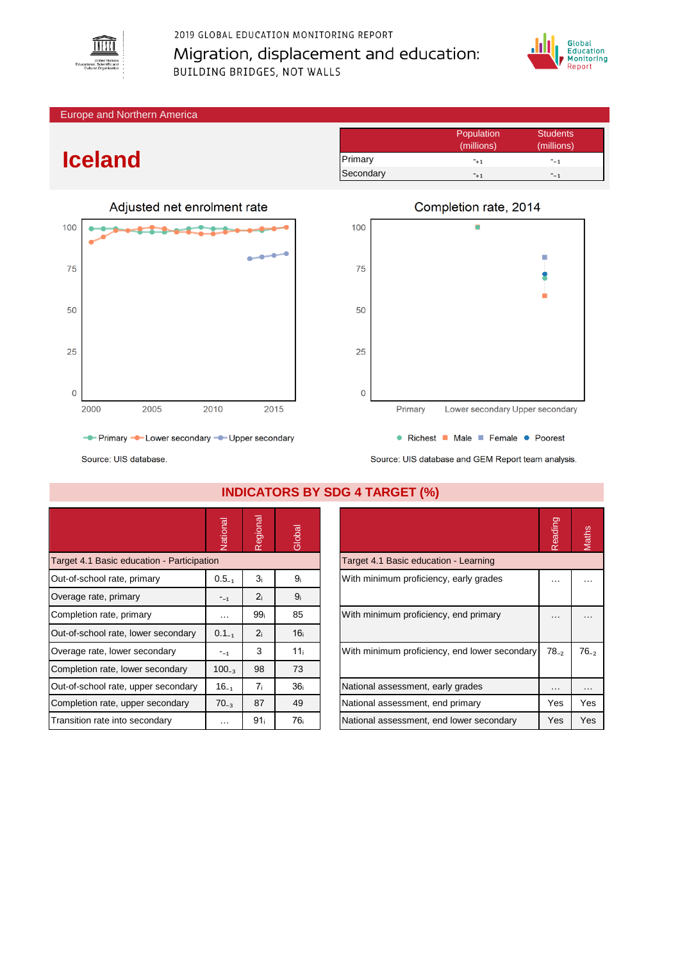

## 2019 GLOBAL EDUCATION MONITORING REPORT Migration, displacement and education: **BUILDING BRIDGES, NOT WALLS**



Europe and Northern America

## **Iceland**



Population Students<br>
(millions) (millions) (millions) (millions) Primary  $-₁$   $-₁$ Secondary  $-₁$ 



Source: UIS database and GEM Report team analysis.

Source: UIS database.

|                                            | Vational   | Regional        | Global          |                                               | eading<br>$\sim$ | Maths     |
|--------------------------------------------|------------|-----------------|-----------------|-----------------------------------------------|------------------|-----------|
| Target 4.1 Basic education - Participation |            |                 |                 | Target 4.1 Basic education - Learning         |                  |           |
| Out-of-school rate, primary                | $0.5_{-1}$ | 3i              | 9 <sub>i</sub>  | With minimum proficiency, early grades        | .                |           |
| Overage rate, primary                      | $-1$       | 2 <sub>i</sub>  | 9 <sub>i</sub>  |                                               |                  |           |
| Completion rate, primary                   | $\cdots$   | 99 <sub>i</sub> | 85              | With minimum proficiency, end primary         |                  |           |
| Out-of-school rate, lower secondary        | $0.1_{-1}$ | 2 <sub>i</sub>  | 16 <sub>i</sub> |                                               |                  |           |
| Overage rate, lower secondary              | $-1$       | 3               | 11 <sub>i</sub> | With minimum proficiency, end lower secondary | $78_{-2}$        | $76_{-2}$ |
| Completion rate, lower secondary           | $100_{-3}$ | 98              | 73              |                                               |                  |           |
| Out-of-school rate, upper secondary        | $16_{-1}$  | 7 <sub>i</sub>  | 36 <sub>i</sub> | National assessment, early grades             | $\cdots$         | $\cdots$  |
| Completion rate, upper secondary           | $70_{-3}$  | 87              | 49              | National assessment, end primary              | Yes              | Yes       |
| Transition rate into secondary             | $\cdots$   | 91 <sub>i</sub> | 76 <sub>i</sub> | National assessment, end lower secondary      | Yes              | Yes       |

## **INDICATORS BY SDG 4 TARGET (%)**

| Reading   |           |
|-----------|-----------|
|           |           |
|           |           |
|           |           |
| $78_{-2}$ | $76_{-2}$ |
|           |           |
| Yes       | Yes       |
| Yes       | Yes       |
|           |           |